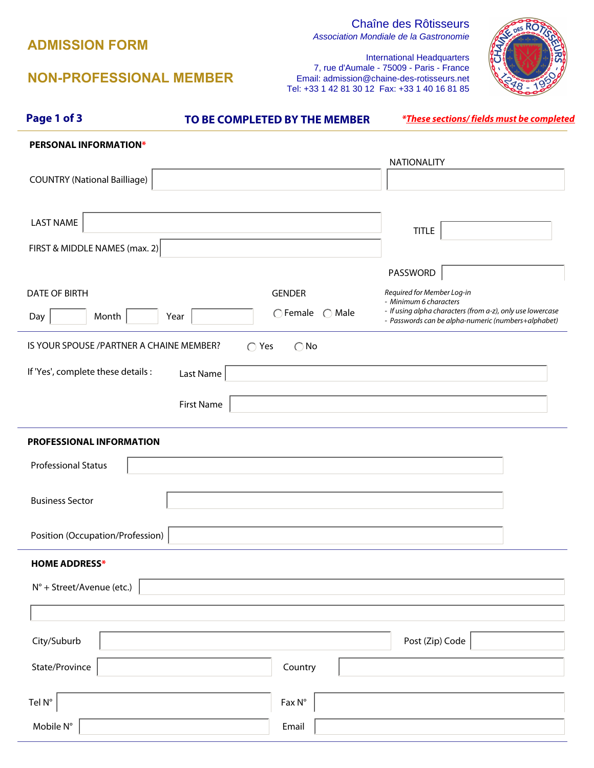## **ADMISSION FORM**

# Chaîne des Rôtisseurs

Association Mondiale de la Gastronomie

## **NON-PROFESSIONAL MEMBER**

International Headquarters 7, rue d'Aumale - 75009 - Paris - France Email: admission@chaine-des-rotisseurs.net Tel: +33 1 42 81 30 12 Fax: +33 1 40 16 81 85



| Page 1 of 3                               | TO BE COMPLETED BY THE MEMBER                                                               |                                                                                                                    | <i>*These sections/fields must be completed</i> |
|-------------------------------------------|---------------------------------------------------------------------------------------------|--------------------------------------------------------------------------------------------------------------------|-------------------------------------------------|
| <b>PERSONAL INFORMATION*</b>              |                                                                                             |                                                                                                                    |                                                 |
|                                           |                                                                                             | <b>NATIONALITY</b>                                                                                                 |                                                 |
| <b>COUNTRY (National Bailliage)</b>       | $\blacktriangledown$                                                                        |                                                                                                                    | $\blacktriangledown$                            |
| <b>LAST NAME</b>                          |                                                                                             | <b>TITLE</b>                                                                                                       | $\blacktriangledown$                            |
| FIRST & MIDDLE NAMES (max. 2)             |                                                                                             |                                                                                                                    |                                                 |
|                                           |                                                                                             | PASSWORD                                                                                                           |                                                 |
| <b>DATE OF BIRTH</b>                      | <b>GENDER</b><br>$\bigcirc$ Female<br>Male<br>$\left( \begin{array}{c} \end{array} \right)$ | Required for Member Log-in<br>- Minimum 6 characters<br>- If using alpha characters (from a-z), only use lowercase |                                                 |
| Month<br>Day                              | Year                                                                                        | - Passwords can be alpha-numeric (numbers+alphabet)                                                                |                                                 |
| IS YOUR SPOUSE / PARTNER A CHAINE MEMBER? | $\bigcirc$ Yes<br>$\bigcirc$ No                                                             |                                                                                                                    |                                                 |
| If 'Yes', complete these details :        | Last Name                                                                                   |                                                                                                                    |                                                 |
|                                           | <b>First Name</b>                                                                           |                                                                                                                    |                                                 |
| PROFESSIONAL INFORMATION                  |                                                                                             |                                                                                                                    |                                                 |
| <b>Professional Status</b>                |                                                                                             |                                                                                                                    | $\blacktriangledown$                            |
| <b>Business Sector</b>                    |                                                                                             |                                                                                                                    | $\blacktriangledown$                            |
| Position (Occupation/Profession)          |                                                                                             |                                                                                                                    | $\blacktriangledown$                            |
| <b>HOME ADDRESS*</b>                      |                                                                                             |                                                                                                                    |                                                 |
| N° + Street/Avenue (etc.)                 |                                                                                             |                                                                                                                    |                                                 |
|                                           |                                                                                             |                                                                                                                    |                                                 |
| City/Suburb                               |                                                                                             | Post (Zip) Code                                                                                                    |                                                 |
| State/Province                            | Country                                                                                     |                                                                                                                    |                                                 |
| Tel N°                                    | $Fax N^{\circ}$                                                                             |                                                                                                                    |                                                 |
| Mobile $\mathsf{N}^\circ$                 | Email                                                                                       |                                                                                                                    |                                                 |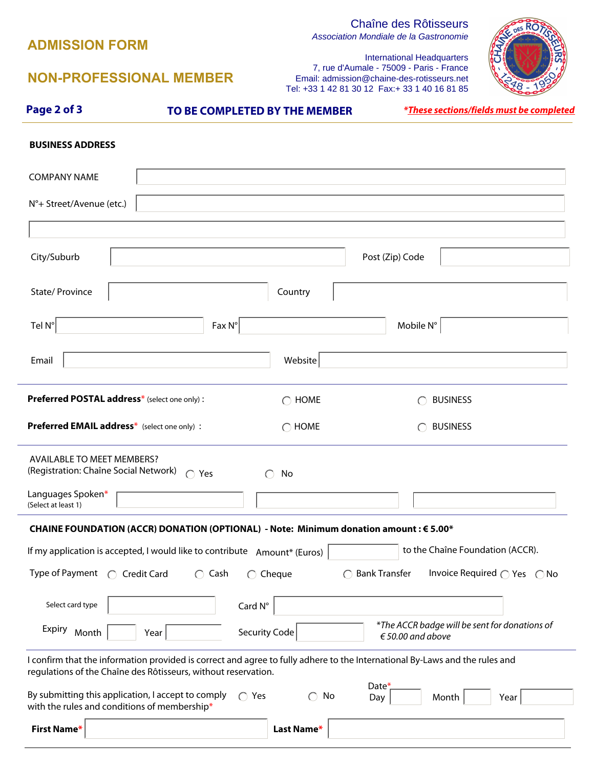## **ADMISSION FORM**

 **First Name\*** 

# Chaîne des Rôtisseurs

Association Mondiale de la Gastronomie



## **NON-PROFESSIONAL MEMBER**

International Headquarters 7, rue d'Aumale - 75009 - Paris - France Email: admission@chaine-des-rotisseurs.net Tel: +33 1 42 81 30 12 Fax:+ 33 1 40 16 81 85

| Page 2 of 3                                                                                        |                                                 | TO BE COMPLETED BY THE MEMBER |                                                                                                                             | <i>*These sections/fields must be completed</i> |
|----------------------------------------------------------------------------------------------------|-------------------------------------------------|-------------------------------|-----------------------------------------------------------------------------------------------------------------------------|-------------------------------------------------|
| <b>BUSINESS ADDRESS</b>                                                                            |                                                 |                               |                                                                                                                             |                                                 |
| <b>COMPANY NAME</b>                                                                                |                                                 |                               |                                                                                                                             |                                                 |
| N°+ Street/Avenue (etc.)                                                                           |                                                 |                               |                                                                                                                             |                                                 |
|                                                                                                    |                                                 |                               |                                                                                                                             |                                                 |
| City/Suburb                                                                                        |                                                 |                               | Post (Zip) Code                                                                                                             |                                                 |
| State/ Province                                                                                    |                                                 | Country                       |                                                                                                                             | $\vert \mathbf{v} \vert$                        |
| Tel N°                                                                                             | $Fax N^{\circ}$                                 |                               | Mobile N°                                                                                                                   |                                                 |
| Email                                                                                              |                                                 | Website                       |                                                                                                                             |                                                 |
| Preferred POSTAL address* (select one only):                                                       |                                                 | $\bigcirc$ HOME               | <b>BUSINESS</b>                                                                                                             |                                                 |
| Preferred EMAIL address* (select one only):                                                        |                                                 | $\bigcirc$ HOME               | <b>BUSINESS</b>                                                                                                             |                                                 |
| <b>AVAILABLE TO MEET MEMBERS?</b><br>(Registration: Chaîne Social Network)                         | $\bigcap$ Yes                                   | No                            |                                                                                                                             |                                                 |
| Languages Spoken*<br>(Select at least 1)                                                           | $\blacktriangledown$                            |                               | $\left  \mathbf{v} \right $                                                                                                 |                                                 |
| CHAINE FOUNDATION (ACCR) DONATION (OPTIONAL) - Note: Minimum donation amount : € 5.00*             |                                                 |                               |                                                                                                                             |                                                 |
| If my application is accepted, I would like to contribute Amount* (Euros)                          |                                                 |                               |                                                                                                                             | to the Chaîne Foundation (ACCR).                |
| Type of Payment<br>◯ Credit Card                                                                   | $\bigcirc$ Cash                                 | $\bigcirc$ Cheque             | <b>Bank Transfer</b>                                                                                                        | Invoice Required $\bigcap$ Yes $\bigcap$ No     |
| Select card type                                                                                   | $\left  \mathbf{v} \right $<br>Card $N^{\circ}$ |                               |                                                                                                                             |                                                 |
| Expiry Month                                                                                       | Year                                            | <b>Security Code</b>          | *The ACCR badge will be sent for donations of<br>$€ 50.00$ and above                                                        |                                                 |
| regulations of the Chaîne des Rôtisseurs, without reservation.                                     |                                                 |                               | I confirm that the information provided is correct and agree to fully adhere to the International By-Laws and the rules and |                                                 |
| By submitting this application, I accept to comply<br>with the rules and conditions of membership* | $\bigcap$ Yes                                   | No<br>$\bigcap$               | Date*<br>Month<br>Day                                                                                                       | Year                                            |

**Last Name\***